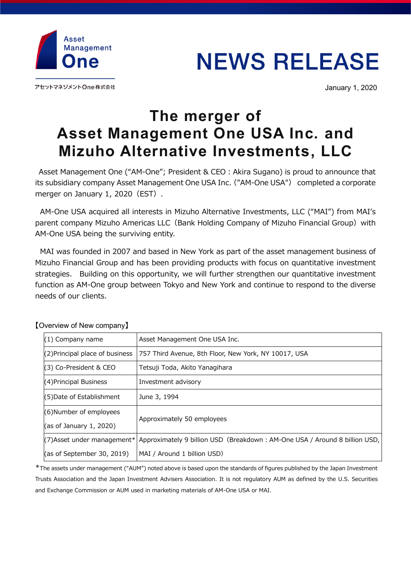

## **NEWS RELEASE**

January 1, 2020

## **The merger of Asset Management One USA Inc. and Mizuho Alternative Investments, LLC**

Asset Management One ("AM-One"; President & CEO: Akira Sugano) is proud to announce that its subsidiary company Asset Management One USA Inc.("AM-One USA") completed a corporate merger on January 1, 2020 (EST).

AM-One USA acquired all interests in Mizuho Alternative Investments, LLC ("MAI") from MAI's parent company Mizuho Americas LLC (Bank Holding Company of Mizuho Financial Group) with AM-One USA being the surviving entity.

MAI was founded in 2007 and based in New York as part of the asset management business of Mizuho Financial Group and has been providing products with focus on quantitative investment strategies. Building on this opportunity, we will further strengthen our quantitative investment function as AM-One group between Tokyo and New York and continue to respond to the diverse needs of our clients.

| $(1)$ Company name              | Asset Management One USA Inc.                                              |
|---------------------------------|----------------------------------------------------------------------------|
| (2) Principal place of business | 757 Third Avenue, 8th Floor, New York, NY 10017, USA                       |
| (3) Co-President & CEO          | Tetsuji Toda, Akito Yanagihara                                             |
| (4) Principal Business          | Investment advisory                                                        |
| (5) Date of Establishment       | June 3, 1994                                                               |
| $(6)$ Number of employees       | Approximately 50 employees                                                 |
| (as of January 1, 2020)         |                                                                            |
| $(7)$ Asset under management*   | Approximately 9 billion USD (Breakdown: AM-One USA / Around 8 billion USD, |
| (as of September 30, 2019)      | MAI / Around 1 billion USD)                                                |

【Overview of New company】

\*The assets under management ("AUM") noted above is based upon the standards of figures published by the Japan Investment Trusts Association and the Japan Investment Advisers Association. It is not regulatory AUM as defined by the U.S. Securities and Exchange Commission or AUM used in marketing materials of AM-One USA or MAI.